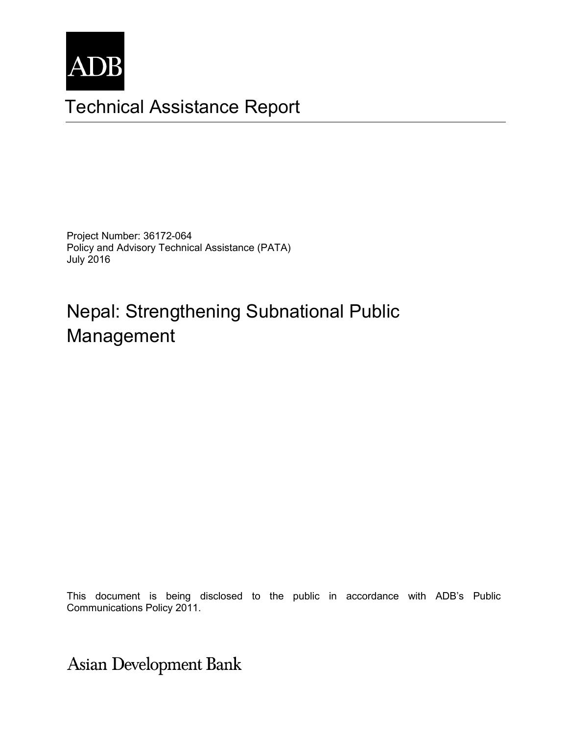

## Technical Assistance Report

Project Number: 36172-064 Policy and Advisory Technical Assistance (PATA) July 2016

# Nepal: Strengthening Subnational Public Management

The views expressed herein are those of the consultant and do not necessarily represent those of ADB's This document is being disclosed to the public in accordance with ADB's Public Communications Policy 2011.

**Asian Development Bank**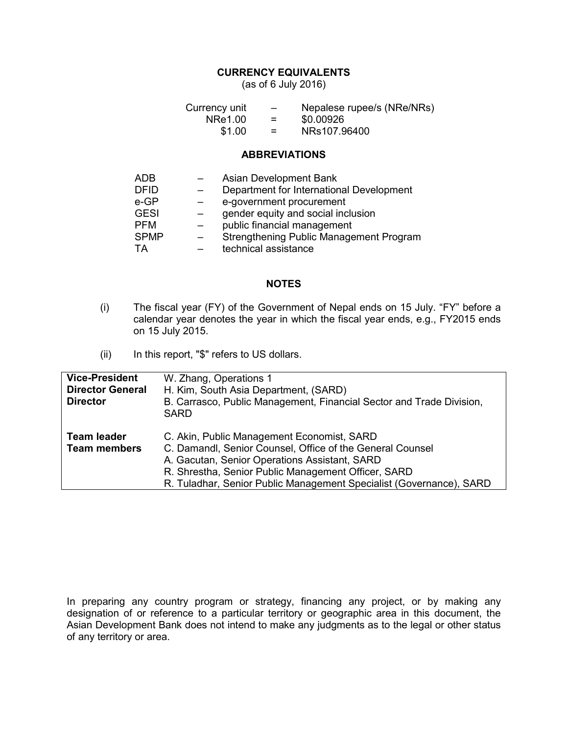#### **CURRENCY EQUIVALENTS**

(as of 6 July 2016)

| Currency unit | $\overline{\phantom{0}}$ | Nepalese rupee/s (NRe/NRs) |
|---------------|--------------------------|----------------------------|
| NRe1.00       | $=$                      | \$0.00926                  |
| \$1.00        | $=$                      | NRs107.96400               |

#### **ABBREVIATIONS**

| ADB         | Asian Development Bank                   |
|-------------|------------------------------------------|
| <b>DFID</b> | Department for International Development |
| e-GP        | e-government procurement                 |
| <b>GESI</b> | gender equity and social inclusion       |
| <b>PFM</b>  | public financial management              |
| <b>SPMP</b> | Strengthening Public Management Program  |
| ТA          | technical assistance                     |

#### **NOTES**

- (i) The fiscal year (FY) of the Government of Nepal ends on 15 July. "FY" before a calendar year denotes the year in which the fiscal year ends, e.g., FY2015 ends on 15 July 2015.
- (ii) In this report, "\$" refers to US dollars.

| <b>Vice-President</b><br><b>Director General</b><br><b>Director</b> | W. Zhang, Operations 1<br>H. Kim, South Asia Department, (SARD)<br>B. Carrasco, Public Management, Financial Sector and Trade Division,<br><b>SARD</b>                                                                                                                                 |
|---------------------------------------------------------------------|----------------------------------------------------------------------------------------------------------------------------------------------------------------------------------------------------------------------------------------------------------------------------------------|
| <b>Team leader</b><br><b>Team members</b>                           | C. Akin, Public Management Economist, SARD<br>C. Damandl, Senior Counsel, Office of the General Counsel<br>A. Gacutan, Senior Operations Assistant, SARD<br>R. Shrestha, Senior Public Management Officer, SARD<br>R. Tuladhar, Senior Public Management Specialist (Governance), SARD |

In preparing any country program or strategy, financing any project, or by making any designation of or reference to a particular territory or geographic area in this document, the Asian Development Bank does not intend to make any judgments as to the legal or other status of any territory or area.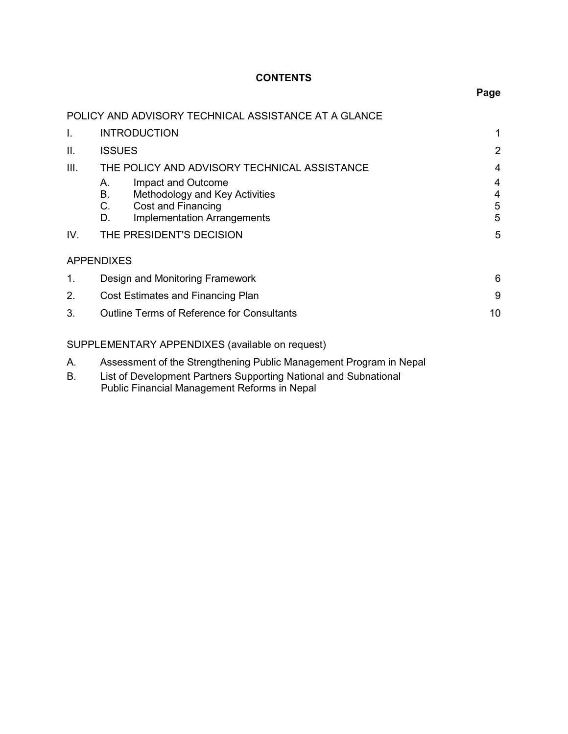## **CONTENTS**

|      | POLICY AND ADVISORY TECHNICAL ASSISTANCE AT A GLANCE                                                                                     |                  |
|------|------------------------------------------------------------------------------------------------------------------------------------------|------------------|
| Ι.   | <b>INTRODUCTION</b>                                                                                                                      | 1                |
| ΙΙ.  | <b>ISSUES</b>                                                                                                                            | $\overline{2}$   |
| III. | THE POLICY AND ADVISORY TECHNICAL ASSISTANCE                                                                                             | 4                |
|      | Impact and Outcome<br>А.<br>В.<br>Methodology and Key Activities<br>C.<br>Cost and Financing<br><b>Implementation Arrangements</b><br>D. | 4<br>4<br>5<br>5 |
| IV.  | THE PRESIDENT'S DECISION                                                                                                                 | 5                |
|      | <b>APPENDIXES</b>                                                                                                                        |                  |
| 1.   | Design and Monitoring Framework                                                                                                          | 6                |
| 2.   | Cost Estimates and Financing Plan                                                                                                        | 9                |
| 3.   | <b>Outline Terms of Reference for Consultants</b>                                                                                        | 10               |
|      | SUPPLEMENTARY APPENDIXES (available on request)                                                                                          |                  |
| Α.   | Assessment of the Strengthening Public Management Program in Nepal                                                                       |                  |

B. List of Development Partners Supporting National and Subnational Public Financial Management Reforms in Nepal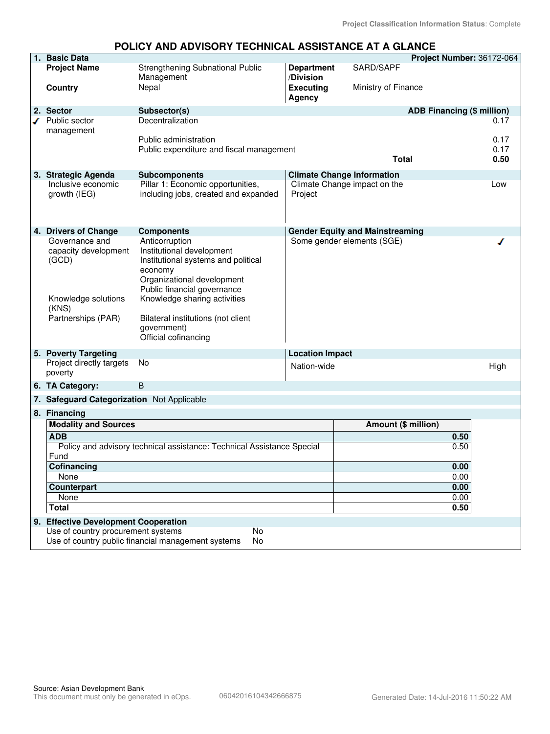| 1. Basic Data                              |                                                                           |                                   |                                        | Project Number: 36172-064         |      |
|--------------------------------------------|---------------------------------------------------------------------------|-----------------------------------|----------------------------------------|-----------------------------------|------|
| <b>Project Name</b>                        | Strengthening Subnational Public<br>Management                            | <b>Department</b><br>/Division    | SARD/SAPF                              |                                   |      |
| <b>Country</b>                             | Nepal                                                                     | <b>Executing</b><br><b>Agency</b> | Ministry of Finance                    |                                   |      |
| 2. Sector                                  | Subsector(s)                                                              |                                   |                                        | <b>ADB Financing (\$ million)</b> |      |
| Public sector                              | Decentralization                                                          |                                   |                                        |                                   | 0.17 |
| management                                 |                                                                           |                                   |                                        |                                   |      |
|                                            | Public administration                                                     |                                   |                                        |                                   | 0.17 |
|                                            | Public expenditure and fiscal management                                  |                                   |                                        |                                   | 0.17 |
|                                            |                                                                           |                                   | <b>Total</b>                           |                                   | 0.50 |
|                                            |                                                                           |                                   |                                        |                                   |      |
| 3. Strategic Agenda                        | <b>Subcomponents</b>                                                      |                                   | <b>Climate Change Information</b>      |                                   |      |
| Inclusive economic<br>growth (IEG)         | Pillar 1: Economic opportunities,<br>including jobs, created and expanded | Project                           | Climate Change impact on the           |                                   | Low  |
| 4. Drivers of Change                       | <b>Components</b>                                                         |                                   | <b>Gender Equity and Mainstreaming</b> |                                   |      |
| Governance and                             | Anticorruption                                                            |                                   | Some gender elements (SGE)             |                                   |      |
| capacity development                       | Institutional development                                                 |                                   |                                        |                                   |      |
| (GCD)                                      | Institutional systems and political                                       |                                   |                                        |                                   |      |
|                                            | economy                                                                   |                                   |                                        |                                   |      |
|                                            | Organizational development                                                |                                   |                                        |                                   |      |
|                                            | Public financial governance                                               |                                   |                                        |                                   |      |
| Knowledge solutions                        | Knowledge sharing activities                                              |                                   |                                        |                                   |      |
| (KNS)                                      |                                                                           |                                   |                                        |                                   |      |
| Partnerships (PAR)                         | Bilateral institutions (not client                                        |                                   |                                        |                                   |      |
|                                            | government)                                                               |                                   |                                        |                                   |      |
|                                            | Official cofinancing                                                      |                                   |                                        |                                   |      |
| 5. Poverty Targeting                       |                                                                           | <b>Location Impact</b>            |                                        |                                   |      |
| Project directly targets                   | No                                                                        | Nation-wide                       |                                        |                                   |      |
| poverty                                    |                                                                           |                                   |                                        |                                   | High |
| 6. TA Category:                            | B                                                                         |                                   |                                        |                                   |      |
|                                            |                                                                           |                                   |                                        |                                   |      |
| 7. Safeguard Categorization Not Applicable |                                                                           |                                   |                                        |                                   |      |
| 8. Financing                               |                                                                           |                                   |                                        |                                   |      |
| <b>Modality and Sources</b>                |                                                                           |                                   | Amount (\$ million)                    |                                   |      |
| <b>ADB</b>                                 |                                                                           |                                   |                                        | 0.50                              |      |
|                                            | Policy and advisory technical assistance: Technical Assistance Special    |                                   |                                        | 0.50                              |      |
| Fund                                       |                                                                           |                                   |                                        |                                   |      |
| Cofinancing<br>None                        |                                                                           |                                   |                                        | 0.00                              |      |
|                                            |                                                                           |                                   |                                        | 0.00                              |      |
| Counterpart<br>None                        |                                                                           |                                   |                                        | 0.00<br>0.00                      |      |
| <b>Total</b>                               |                                                                           |                                   |                                        | 0.50                              |      |
|                                            |                                                                           |                                   |                                        |                                   |      |
| 9. Effective Development Cooperation       |                                                                           |                                   |                                        |                                   |      |
| Use of country procurement systems         | No                                                                        |                                   |                                        |                                   |      |
|                                            | Use of country public financial management systems<br>No                  |                                   |                                        |                                   |      |

#### **POLICY AND ADVISORY TECHNICAL ASSISTANCE AT A GLANCE**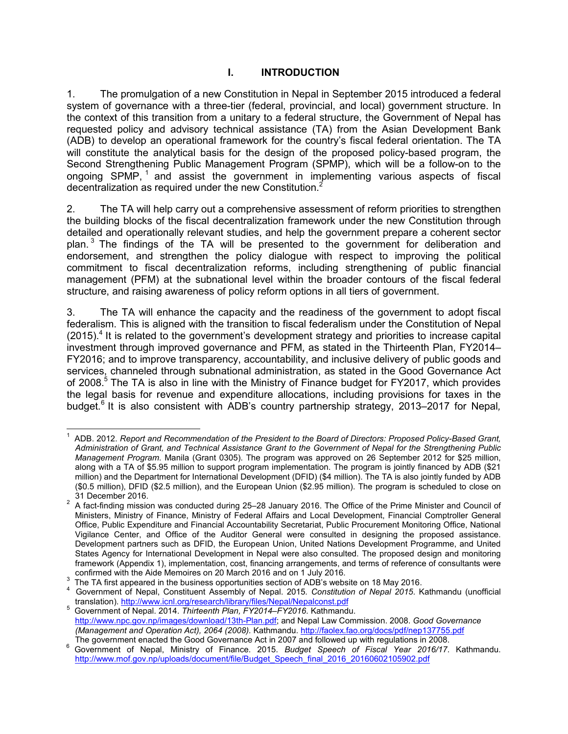## **I. INTRODUCTION**

1. The promulgation of a new Constitution in Nepal in September 2015 introduced a federal system of governance with a three-tier (federal, provincial, and local) government structure. In the context of this transition from a unitary to a federal structure, the Government of Nepal has requested policy and advisory technical assistance (TA) from the Asian Development Bank (ADB) to develop an operational framework for the country's fiscal federal orientation. The TA will constitute the analytical basis for the design of the proposed policy-based program, the Second Strengthening Public Management Program (SPMP), which will be a follow-on to the ongoing SPMP,  $1$  and assist the government in implementing various aspects of fiscal decentralization as required under the new Constitution.<sup>2</sup>

2. The TA will help carry out a comprehensive assessment of reform priorities to strengthen the building blocks of the fiscal decentralization framework under the new Constitution through detailed and operationally relevant studies, and help the government prepare a coherent sector plan.<sup>3</sup> The findings of the TA will be presented to the government for deliberation and endorsement, and strengthen the policy dialogue with respect to improving the political commitment to fiscal decentralization reforms, including strengthening of public financial management (PFM) at the subnational level within the broader contours of the fiscal federal structure, and raising awareness of policy reform options in all tiers of government.

3. The TA will enhance the capacity and the readiness of the government to adopt fiscal federalism. This is aligned with the transition to fiscal federalism under the Constitution of Nepal  $(2015).$ <sup>4</sup> It is related to the government's development strategy and priorities to increase capital investment through improved governance and PFM, as stated in the Thirteenth Plan, FY2014– FY2016; and to improve transparency, accountability, and inclusive delivery of public goods and services, channeled through subnational administration, as stated in the Good Governance Act of 2008.<sup>5</sup> The TA is also in line with the Ministry of Finance budget for FY2017, which provides the legal basis for revenue and expenditure allocations, including provisions for taxes in the budget.<sup>6</sup> It is also consistent with ADB's country partnership strategy, 2013–2017 for Nepal,

 $\overline{1}$ 1 ADB. 2012. *Report and Recommendation of the President to the Board of Directors: Proposed Policy-Based Grant, Administration of Grant, and Technical Assistance Grant to the Government of Nepal for the Strengthening Public Management Program*. Manila (Grant 0305). The program was approved on 26 September 2012 for \$25 million, along with a TA of \$5.95 million to support program implementation. The program is jointly financed by ADB (\$21 million) and the Department for International Development (DFID) (\$4 million). The TA is also jointly funded by ADB (\$0.5 million), DFID (\$2.5 million), and the European Union (\$2.95 million). The program is scheduled to close on 31 December 2016.

 $2$  A fact-finding mission was conducted during 25–28 January 2016. The Office of the Prime Minister and Council of Ministers, Ministry of Finance, Ministry of Federal Affairs and Local Development, Financial Comptroller General Office, Public Expenditure and Financial Accountability Secretariat, Public Procurement Monitoring Office, National Vigilance Center, and Office of the Auditor General were consulted in designing the proposed assistance. Development partners such as DFID, the European Union, United Nations Development Programme, and United States Agency for International Development in Nepal were also consulted. The proposed design and monitoring framework (Appendix 1), implementation, cost, financing arrangements, and terms of reference of consultants were confirmed with the Aide Memoires on 20 March 2016 and on 1 July 2016.

<sup>3</sup> The TA first appeared in the business opportunities section of ADB's website on 18 May 2016.

<sup>4</sup> Government of Nepal, Constituent Assembly of Nepal. 2015*. Constitution of Nepal 2015*. Kathmandu (unofficial translation). http://www.icnl.org/research/library/files/Nepal/Nepalconst.pdf

<sup>5</sup> Government of Nepal. 2014. *Thirteenth Plan, FY2014–FY2016*. Kathmandu. http://www.npc.gov.np/images/download/13th-Plan.pdf; and Nepal Law Commission. 2008. *Good Governance (Management and Operation Act), 2064 (2008)*. Kathmandu. http://faolex.fao.org/docs/pdf/nep137755.pdf The government enacted the Good Governance Act in 2007 and followed up with regulations in 2008.

<sup>6</sup> Government of Nepal, Ministry of Finance. 2015. *Budget Speech of Fiscal Year 2016/17*. Kathmandu. http://www.mof.gov.np/uploads/document/file/Budget\_Speech\_final\_2016\_20160602105902.pdf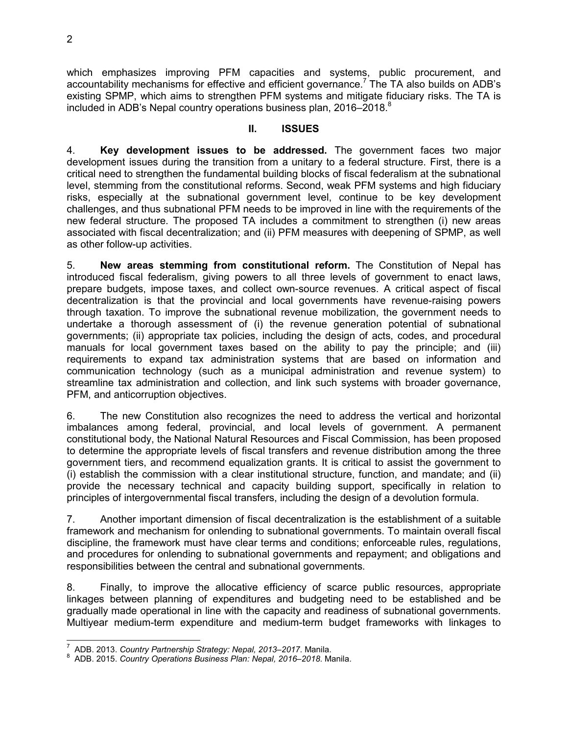which emphasizes improving PFM capacities and systems, public procurement, and accountability mechanisms for effective and efficient governance.<sup>7</sup> The TA also builds on ADB's existing SPMP, which aims to strengthen PFM systems and mitigate fiduciary risks. The TA is included in ADB's Nepal country operations business plan, 2016–2018.<sup>8</sup>

#### **II. ISSUES**

4. **Key development issues to be addressed.** The government faces two major development issues during the transition from a unitary to a federal structure. First, there is a critical need to strengthen the fundamental building blocks of fiscal federalism at the subnational level, stemming from the constitutional reforms. Second, weak PFM systems and high fiduciary risks, especially at the subnational government level, continue to be key development challenges, and thus subnational PFM needs to be improved in line with the requirements of the new federal structure. The proposed TA includes a commitment to strengthen (i) new areas associated with fiscal decentralization; and (ii) PFM measures with deepening of SPMP, as well as other follow-up activities.

5. **New areas stemming from constitutional reform.** The Constitution of Nepal has introduced fiscal federalism, giving powers to all three levels of government to enact laws, prepare budgets, impose taxes, and collect own-source revenues. A critical aspect of fiscal decentralization is that the provincial and local governments have revenue-raising powers through taxation. To improve the subnational revenue mobilization, the government needs to undertake a thorough assessment of (i) the revenue generation potential of subnational governments; (ii) appropriate tax policies, including the design of acts, codes, and procedural manuals for local government taxes based on the ability to pay the principle; and (iii) requirements to expand tax administration systems that are based on information and communication technology (such as a municipal administration and revenue system) to streamline tax administration and collection, and link such systems with broader governance, PFM, and anticorruption objectives.

6. The new Constitution also recognizes the need to address the vertical and horizontal imbalances among federal, provincial, and local levels of government. A permanent constitutional body, the National Natural Resources and Fiscal Commission, has been proposed to determine the appropriate levels of fiscal transfers and revenue distribution among the three government tiers, and recommend equalization grants. It is critical to assist the government to (i) establish the commission with a clear institutional structure, function, and mandate; and (ii) provide the necessary technical and capacity building support, specifically in relation to principles of intergovernmental fiscal transfers, including the design of a devolution formula.

7. Another important dimension of fiscal decentralization is the establishment of a suitable framework and mechanism for onlending to subnational governments. To maintain overall fiscal discipline, the framework must have clear terms and conditions; enforceable rules, regulations, and procedures for onlending to subnational governments and repayment; and obligations and responsibilities between the central and subnational governments.

8. Finally, to improve the allocative efficiency of scarce public resources, appropriate linkages between planning of expenditures and budgeting need to be established and be gradually made operational in line with the capacity and readiness of subnational governments. Multiyear medium-term expenditure and medium-term budget frameworks with linkages to

 $\overline{a}$ 

<sup>7</sup> ADB. 2013. *Country Partnership Strategy: Nepal, 2013–2017*. Manila.

<sup>8</sup> ADB. 2015. *Country Operations Business Plan: Nepal, 2016–2018*. Manila.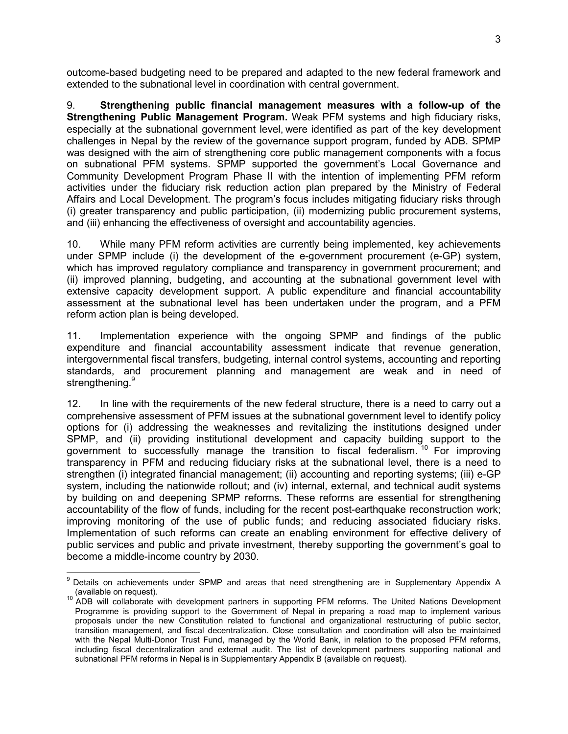outcome-based budgeting need to be prepared and adapted to the new federal framework and extended to the subnational level in coordination with central government.

9. **Strengthening public financial management measures with a follow-up of the Strengthening Public Management Program.** Weak PFM systems and high fiduciary risks, especially at the subnational government level, were identified as part of the key development challenges in Nepal by the review of the governance support program, funded by ADB. SPMP was designed with the aim of strengthening core public management components with a focus on subnational PFM systems. SPMP supported the government's Local Governance and Community Development Program Phase II with the intention of implementing PFM reform activities under the fiduciary risk reduction action plan prepared by the Ministry of Federal Affairs and Local Development. The program's focus includes mitigating fiduciary risks through (i) greater transparency and public participation, (ii) modernizing public procurement systems, and (iii) enhancing the effectiveness of oversight and accountability agencies.

10. While many PFM reform activities are currently being implemented, key achievements under SPMP include (i) the development of the e-government procurement (e-GP) system, which has improved regulatory compliance and transparency in government procurement; and (ii) improved planning, budgeting, and accounting at the subnational government level with extensive capacity development support. A public expenditure and financial accountability assessment at the subnational level has been undertaken under the program, and a PFM reform action plan is being developed.

11. Implementation experience with the ongoing SPMP and findings of the public expenditure and financial accountability assessment indicate that revenue generation, intergovernmental fiscal transfers, budgeting, internal control systems, accounting and reporting standards, and procurement planning and management are weak and in need of strengthening.<sup>9</sup>

12. In line with the requirements of the new federal structure, there is a need to carry out a comprehensive assessment of PFM issues at the subnational government level to identify policy options for (i) addressing the weaknesses and revitalizing the institutions designed under SPMP, and (ii) providing institutional development and capacity building support to the government to successfully manage the transition to fiscal federalism. <sup>10</sup> For improving transparency in PFM and reducing fiduciary risks at the subnational level, there is a need to strengthen (i) integrated financial management; (ii) accounting and reporting systems; (iii) e-GP system, including the nationwide rollout; and (iv) internal, external, and technical audit systems by building on and deepening SPMP reforms. These reforms are essential for strengthening accountability of the flow of funds, including for the recent post-earthquake reconstruction work; improving monitoring of the use of public funds; and reducing associated fiduciary risks. Implementation of such reforms can create an enabling environment for effective delivery of public services and public and private investment, thereby supporting the government's goal to become a middle-income country by 2030.

 9 Details on achievements under SPMP and areas that need strengthening are in Supplementary Appendix A (available on request).

 $10$  ADB will collaborate with development partners in supporting PFM reforms. The United Nations Development Programme is providing support to the Government of Nepal in preparing a road map to implement various proposals under the new Constitution related to functional and organizational restructuring of public sector, transition management, and fiscal decentralization. Close consultation and coordination will also be maintained with the Nepal Multi-Donor Trust Fund, managed by the World Bank, in relation to the proposed PFM reforms, including fiscal decentralization and external audit. The list of development partners supporting national and subnational PFM reforms in Nepal is in Supplementary Appendix B (available on request).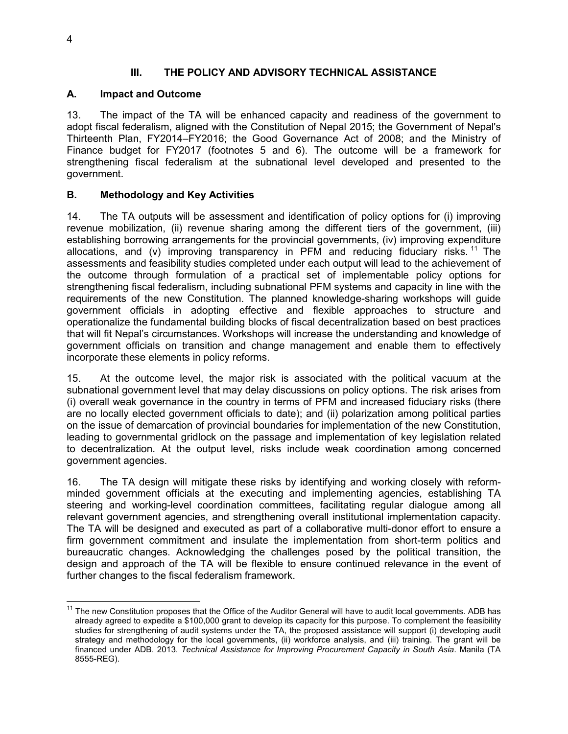#### **III. THE POLICY AND ADVISORY TECHNICAL ASSISTANCE**

#### **A. Impact and Outcome**

13. The impact of the TA will be enhanced capacity and readiness of the government to adopt fiscal federalism, aligned with the Constitution of Nepal 2015; the Government of Nepal's Thirteenth Plan, FY2014–FY2016; the Good Governance Act of 2008; and the Ministry of Finance budget for FY2017 (footnotes 5 and 6). The outcome will be a framework for strengthening fiscal federalism at the subnational level developed and presented to the government.

## **B. Methodology and Key Activities**

14. The TA outputs will be assessment and identification of policy options for (i) improving revenue mobilization, (ii) revenue sharing among the different tiers of the government, (iii) establishing borrowing arrangements for the provincial governments, (iv) improving expenditure allocations, and (v) improving transparency in PFM and reducing fiduciary risks.<sup>11</sup> The assessments and feasibility studies completed under each output will lead to the achievement of the outcome through formulation of a practical set of implementable policy options for strengthening fiscal federalism, including subnational PFM systems and capacity in line with the requirements of the new Constitution. The planned knowledge-sharing workshops will guide government officials in adopting effective and flexible approaches to structure and operationalize the fundamental building blocks of fiscal decentralization based on best practices that will fit Nepal's circumstances. Workshops will increase the understanding and knowledge of government officials on transition and change management and enable them to effectively incorporate these elements in policy reforms.

15. At the outcome level, the major risk is associated with the political vacuum at the subnational government level that may delay discussions on policy options. The risk arises from (i) overall weak governance in the country in terms of PFM and increased fiduciary risks (there are no locally elected government officials to date); and (ii) polarization among political parties on the issue of demarcation of provincial boundaries for implementation of the new Constitution, leading to governmental gridlock on the passage and implementation of key legislation related to decentralization. At the output level, risks include weak coordination among concerned government agencies.

16. The TA design will mitigate these risks by identifying and working closely with reformminded government officials at the executing and implementing agencies, establishing TA steering and working-level coordination committees, facilitating regular dialogue among all relevant government agencies, and strengthening overall institutional implementation capacity. The TA will be designed and executed as part of a collaborative multi-donor effort to ensure a firm government commitment and insulate the implementation from short-term politics and bureaucratic changes. Acknowledging the challenges posed by the political transition, the design and approach of the TA will be flexible to ensure continued relevance in the event of further changes to the fiscal federalism framework.

 $\overline{a}$ <sup>11</sup> The new Constitution proposes that the Office of the Auditor General will have to audit local governments. ADB has already agreed to expedite a \$100,000 grant to develop its capacity for this purpose. To complement the feasibility studies for strengthening of audit systems under the TA, the proposed assistance will support (i) developing audit strategy and methodology for the local governments, (ii) workforce analysis, and (iii) training. The grant will be financed under ADB. 2013. *Technical Assistance for Improving Procurement Capacity in South Asia*. Manila (TA 8555-REG).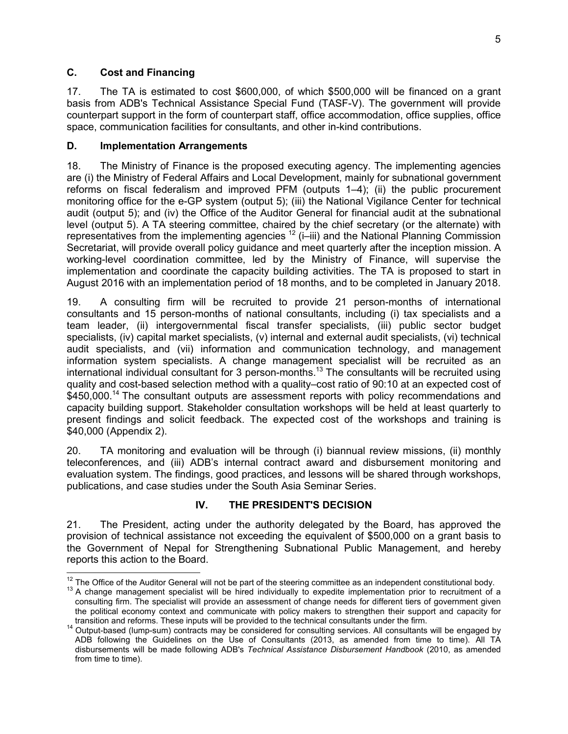## **C. Cost and Financing**

17. The TA is estimated to cost \$600,000, of which \$500,000 will be financed on a grant basis from ADB's Technical Assistance Special Fund (TASF-V). The government will provide counterpart support in the form of counterpart staff, office accommodation, office supplies, office space, communication facilities for consultants, and other in-kind contributions.

## **D. Implementation Arrangements**

18. The Ministry of Finance is the proposed executing agency. The implementing agencies are (i) the Ministry of Federal Affairs and Local Development, mainly for subnational government reforms on fiscal federalism and improved PFM (outputs 1–4); (ii) the public procurement monitoring office for the e-GP system (output 5); (iii) the National Vigilance Center for technical audit (output 5); and (iv) the Office of the Auditor General for financial audit at the subnational level (output 5). A TA steering committee, chaired by the chief secretary (or the alternate) with representatives from the implementing agencies <sup>12</sup> (i–iii) and the National Planning Commission Secretariat, will provide overall policy guidance and meet quarterly after the inception mission. A working-level coordination committee, led by the Ministry of Finance, will supervise the implementation and coordinate the capacity building activities. The TA is proposed to start in August 2016 with an implementation period of 18 months, and to be completed in January 2018.

19. A consulting firm will be recruited to provide 21 person-months of international consultants and 15 person-months of national consultants, including (i) tax specialists and a team leader, (ii) intergovernmental fiscal transfer specialists, (iii) public sector budget specialists, (iv) capital market specialists, (v) internal and external audit specialists, (vi) technical audit specialists, and (vii) information and communication technology, and management information system specialists. A change management specialist will be recruited as an international individual consultant for 3 person-months.<sup>13</sup> The consultants will be recruited using quality and cost-based selection method with a quality–cost ratio of 90:10 at an expected cost of \$450,000.<sup>14</sup> The consultant outputs are assessment reports with policy recommendations and capacity building support. Stakeholder consultation workshops will be held at least quarterly to present findings and solicit feedback. The expected cost of the workshops and training is \$40,000 (Appendix 2).

20. TA monitoring and evaluation will be through (i) biannual review missions, (ii) monthly teleconferences, and (iii) ADB's internal contract award and disbursement monitoring and evaluation system. The findings, good practices, and lessons will be shared through workshops, publications, and case studies under the South Asia Seminar Series.

## **IV. THE PRESIDENT'S DECISION**

21. The President, acting under the authority delegated by the Board, has approved the provision of technical assistance not exceeding the equivalent of \$500,000 on a grant basis to the Government of Nepal for Strengthening Subnational Public Management, and hereby reports this action to the Board.

 $\overline{a}$  $12$  The Office of the Auditor General will not be part of the steering committee as an independent constitutional body.

 $13$  A change management specialist will be hired individually to expedite implementation prior to recruitment of a consulting firm. The specialist will provide an assessment of change needs for different tiers of government given the political economy context and communicate with policy makers to strengthen their support and capacity for transition and reforms. These inputs will be provided to the technical consultants under the firm.

<sup>14</sup> Output-based (lump-sum) contracts may be considered for consulting services. All consultants will be engaged by ADB following the Guidelines on the Use of Consultants (2013, as amended from time to time). All TA disbursements will be made following ADB's *Technical Assistance Disbursement Handbook* (2010, as amended from time to time).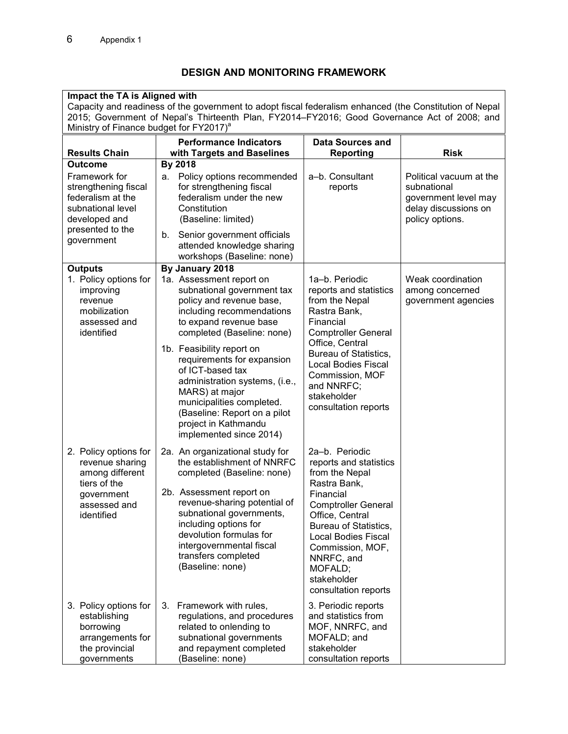## **DESIGN AND MONITORING FRAMEWORK**

| Impact the TA is Aligned with                                                                                                                                                                           |                                                                                                                                                                                                                                                                                                                                                                                                                                               |                                                                                                                                                                                                                                                                                     |                                                                                                           |
|---------------------------------------------------------------------------------------------------------------------------------------------------------------------------------------------------------|-----------------------------------------------------------------------------------------------------------------------------------------------------------------------------------------------------------------------------------------------------------------------------------------------------------------------------------------------------------------------------------------------------------------------------------------------|-------------------------------------------------------------------------------------------------------------------------------------------------------------------------------------------------------------------------------------------------------------------------------------|-----------------------------------------------------------------------------------------------------------|
| Capacity and readiness of the government to adopt fiscal federalism enhanced (the Constitution of Nepal<br>2015; Government of Nepal's Thirteenth Plan, FY2014-FY2016; Good Governance Act of 2008; and |                                                                                                                                                                                                                                                                                                                                                                                                                                               |                                                                                                                                                                                                                                                                                     |                                                                                                           |
| Ministry of Finance budget for FY2017) <sup>a</sup>                                                                                                                                                     |                                                                                                                                                                                                                                                                                                                                                                                                                                               |                                                                                                                                                                                                                                                                                     |                                                                                                           |
|                                                                                                                                                                                                         | <b>Performance Indicators</b>                                                                                                                                                                                                                                                                                                                                                                                                                 | <b>Data Sources and</b><br><b>Reporting</b>                                                                                                                                                                                                                                         | <b>Risk</b>                                                                                               |
| <b>Results Chain</b><br><b>Outcome</b>                                                                                                                                                                  | with Targets and Baselines<br>By 2018                                                                                                                                                                                                                                                                                                                                                                                                         |                                                                                                                                                                                                                                                                                     |                                                                                                           |
| Framework for<br>strengthening fiscal<br>federalism at the<br>subnational level<br>developed and<br>presented to the<br>government                                                                      | a. Policy options recommended<br>for strengthening fiscal<br>federalism under the new<br>Constitution<br>(Baseline: limited)<br>b. Senior government officials<br>attended knowledge sharing<br>workshops (Baseline: none)                                                                                                                                                                                                                    | a-b. Consultant<br>reports                                                                                                                                                                                                                                                          | Political vacuum at the<br>subnational<br>government level may<br>delay discussions on<br>policy options. |
| <b>Outputs</b><br>1. Policy options for<br>improving<br>revenue<br>mobilization<br>assessed and<br>identified                                                                                           | By January 2018<br>1a. Assessment report on<br>subnational government tax<br>policy and revenue base,<br>including recommendations<br>to expand revenue base<br>completed (Baseline: none)<br>1b. Feasibility report on<br>requirements for expansion<br>of ICT-based tax<br>administration systems, (i.e.,<br>MARS) at major<br>municipalities completed.<br>(Baseline: Report on a pilot<br>project in Kathmandu<br>implemented since 2014) | 1a-b. Periodic<br>reports and statistics<br>from the Nepal<br>Rastra Bank,<br>Financial<br><b>Comptroller General</b><br>Office, Central<br><b>Bureau of Statistics,</b><br><b>Local Bodies Fiscal</b><br>Commission, MOF<br>and NNRFC;<br>stakeholder<br>consultation reports      | Weak coordination<br>among concerned<br>government agencies                                               |
| 2. Policy options for<br>revenue sharing<br>among different<br>tiers of the<br>government<br>assessed and<br>identified                                                                                 | 2a. An organizational study for<br>the establishment of NNRFC<br>completed (Baseline: none)<br>2b. Assessment report on<br>revenue-sharing potential of<br>subnational governments,<br>including options for<br>devolution formulas for<br>intergovernmental fiscal<br>transfers completed<br>(Baseline: none)                                                                                                                                | 2a-b. Periodic<br>reports and statistics<br>from the Nepal<br>Rastra Bank,<br>Financial<br><b>Comptroller General</b><br>Office, Central<br>Bureau of Statistics,<br><b>Local Bodies Fiscal</b><br>Commission, MOF,<br>NNRFC, and<br>MOFALD;<br>stakeholder<br>consultation reports |                                                                                                           |
| 3. Policy options for<br>establishing<br>borrowing<br>arrangements for<br>the provincial<br>governments                                                                                                 | 3. Framework with rules,<br>regulations, and procedures<br>related to onlending to<br>subnational governments<br>and repayment completed<br>(Baseline: none)                                                                                                                                                                                                                                                                                  | 3. Periodic reports<br>and statistics from<br>MOF, NNRFC, and<br>MOFALD; and<br>stakeholder<br>consultation reports                                                                                                                                                                 |                                                                                                           |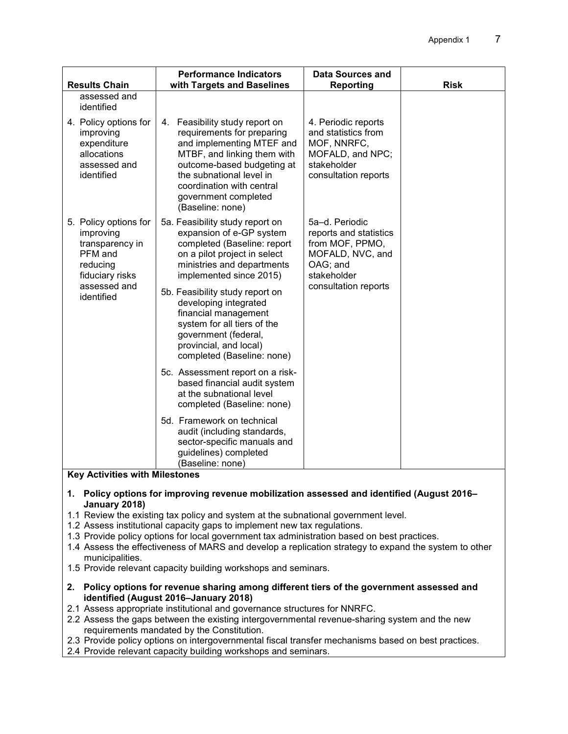|                                                                                                                               | <b>Performance Indicators</b>                                                                                                                                                                                                                                                                                                                                                          | <b>Data Sources and</b>                                                                                                            |             |
|-------------------------------------------------------------------------------------------------------------------------------|----------------------------------------------------------------------------------------------------------------------------------------------------------------------------------------------------------------------------------------------------------------------------------------------------------------------------------------------------------------------------------------|------------------------------------------------------------------------------------------------------------------------------------|-------------|
| <b>Results Chain</b><br>assessed and<br>identified                                                                            | with Targets and Baselines                                                                                                                                                                                                                                                                                                                                                             | <b>Reporting</b>                                                                                                                   | <b>Risk</b> |
| 4. Policy options for<br>improving<br>expenditure<br>allocations<br>assessed and<br>identified                                | 4. Feasibility study report on<br>requirements for preparing<br>and implementing MTEF and<br>MTBF, and linking them with<br>outcome-based budgeting at<br>the subnational level in<br>coordination with central<br>government completed<br>(Baseline: none)                                                                                                                            | 4. Periodic reports<br>and statistics from<br>MOF, NNRFC,<br>MOFALD, and NPC;<br>stakeholder<br>consultation reports               |             |
| 5. Policy options for<br>improving<br>transparency in<br>PFM and<br>reducing<br>fiduciary risks<br>assessed and<br>identified | 5a. Feasibility study report on<br>expansion of e-GP system<br>completed (Baseline: report<br>on a pilot project in select<br>ministries and departments<br>implemented since 2015)<br>5b. Feasibility study report on<br>developing integrated<br>financial management<br>system for all tiers of the<br>government (federal,<br>provincial, and local)<br>completed (Baseline: none) | 5a-d. Periodic<br>reports and statistics<br>from MOF, PPMO,<br>MOFALD, NVC, and<br>OAG; and<br>stakeholder<br>consultation reports |             |
|                                                                                                                               | 5c. Assessment report on a risk-<br>based financial audit system<br>at the subnational level<br>completed (Baseline: none)                                                                                                                                                                                                                                                             |                                                                                                                                    |             |
|                                                                                                                               | 5d. Framework on technical<br>audit (including standards,<br>sector-specific manuals and<br>guidelines) completed<br>(Baseline: none)                                                                                                                                                                                                                                                  |                                                                                                                                    |             |

#### **Key Activities with Milestones**

- **1. Policy options for improving revenue mobilization assessed and identified (August 2016– January 2018)**
- 1.1 Review the existing tax policy and system at the subnational government level.
- 1.2 Assess institutional capacity gaps to implement new tax regulations.
- 1.3 Provide policy options for local government tax administration based on best practices.
- 1.4 Assess the effectiveness of MARS and develop a replication strategy to expand the system to other municipalities.
- 1.5 Provide relevant capacity building workshops and seminars.
- **2. Policy options for revenue sharing among different tiers of the government assessed and identified (August 2016–January 2018)**
- 2.1 Assess appropriate institutional and governance structures for NNRFC.
- 2.2 Assess the gaps between the existing intergovernmental revenue-sharing system and the new requirements mandated by the Constitution.
- 2.3 Provide policy options on intergovernmental fiscal transfer mechanisms based on best practices.
- 2.4 Provide relevant capacity building workshops and seminars.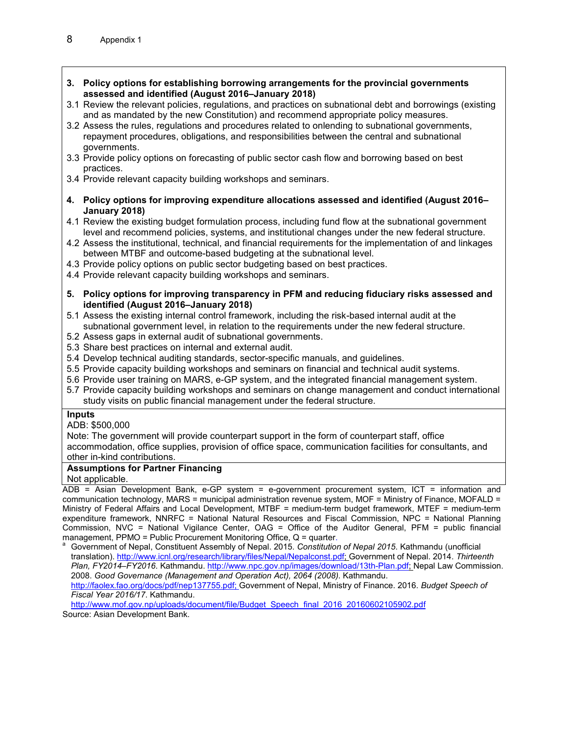- **3. Policy options for establishing borrowing arrangements for the provincial governments assessed and identified (August 2016–January 2018)**
- 3.1 Review the relevant policies, regulations, and practices on subnational debt and borrowings (existing and as mandated by the new Constitution) and recommend appropriate policy measures.
- 3.2 Assess the rules, regulations and procedures related to onlending to subnational governments, repayment procedures, obligations, and responsibilities between the central and subnational governments.
- 3.3 Provide policy options on forecasting of public sector cash flow and borrowing based on best practices.
- 3.4 Provide relevant capacity building workshops and seminars.
- **4. Policy options for improving expenditure allocations assessed and identified (August 2016– January 2018)**
- 4.1 Review the existing budget formulation process, including fund flow at the subnational government level and recommend policies, systems, and institutional changes under the new federal structure.
- 4.2 Assess the institutional, technical, and financial requirements for the implementation of and linkages between MTBF and outcome-based budgeting at the subnational level.
- 4.3 Provide policy options on public sector budgeting based on best practices.
- 4.4 Provide relevant capacity building workshops and seminars.
- **5. Policy options for improving transparency in PFM and reducing fiduciary risks assessed and identified (August 2016–January 2018)**
- 5.1 Assess the existing internal control framework, including the risk-based internal audit at the subnational government level, in relation to the requirements under the new federal structure.
- 5.2 Assess gaps in external audit of subnational governments.
- 5.3 Share best practices on internal and external audit.
- 5.4 Develop technical auditing standards, sector-specific manuals, and guidelines.
- 5.5 Provide capacity building workshops and seminars on financial and technical audit systems.
- 5.6 Provide user training on MARS, e-GP system, and the integrated financial management system.
- 5.7 Provide capacity building workshops and seminars on change management and conduct international study visits on public financial management under the federal structure.

#### **Inputs**

ADB: \$500,000

Note: The government will provide counterpart support in the form of counterpart staff, office accommodation, office supplies, provision of office space, communication facilities for consultants, and other in-kind contributions.

#### **Assumptions for Partner Financing**

Not applicable.

ADB = Asian Development Bank, e-GP system = e-government procurement system, ICT = information and communication technology, MARS = municipal administration revenue system, MOF = Ministry of Finance, MOFALD = Ministry of Federal Affairs and Local Development, MTBF = medium-term budget framework, MTEF = medium-term expenditure framework, NNRFC = National Natural Resources and Fiscal Commission, NPC = National Planning Commission, NVC = National Vigilance Center, OAG = Office of the Auditor General, PFM = public financial management, PPMO = Public Procurement Monitoring Office, Q = quarter.

<sup>a</sup>Government of Nepal, Constituent Assembly of Nepal. 2015*. Constitution of Nepal 2015*. Kathmandu (unofficial translation). http://www.icnl.org/research/library/files/Nepal/Nepalconst.pdf; Government of Nepal. 2014. *Thirteenth Plan, FY2014–FY2016*. Kathmandu. http://www.npc.gov.np/images/download/13th-Plan.pdf; Nepal Law Commission. 2008. *Good Governance (Management and Operation Act), 2064 (2008)*. Kathmandu. http://faolex.fao.org/docs/pdf/nep137755.pdf; Government of Nepal, Ministry of Finance. 2016. *Budget Speech of Fiscal Year 2016/17*. Kathmandu.

http://www.mof.gov.np/uploads/document/file/Budget\_Speech\_final\_2016\_20160602105902.pdf Source: Asian Development Bank.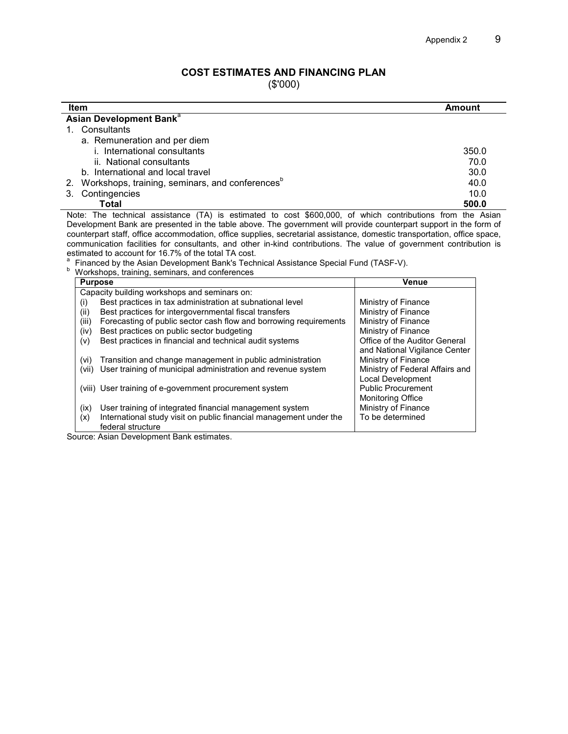and National Vigilance Center<br>Ministry of Finance

Local Development<br>Public Procurement

#### **COST ESTIMATES AND FINANCING PLAN**

(\$'000)

| <b>Item</b>                                                                                                              | Amount              |
|--------------------------------------------------------------------------------------------------------------------------|---------------------|
| Asian Development Bank <sup>a</sup>                                                                                      |                     |
| 1. Consultants                                                                                                           |                     |
| a. Remuneration and per diem                                                                                             |                     |
| i. International consultants                                                                                             | 350.0               |
| ii. National consultants                                                                                                 | 70.0                |
| b. International and local travel                                                                                        | 30.0                |
| 2. Workshops, training, seminars, and conferences <sup>b</sup>                                                           | 40.0                |
| Contingencies<br>3.                                                                                                      | 10.0                |
| Total                                                                                                                    | 500.0               |
| Note: The technical assistance (TA) is estimated to cost \$600,000, of which contributions from the Asian                |                     |
| Development Bank are presented in the table above. The government will provide counterpart support in the form of        |                     |
| counterpart staff, office accommodation, office supplies, secretarial assistance, domestic transportation, office space, |                     |
| communication facilities for consultants, and other in-kind contributions. The value of government contribution is       |                     |
| estimated to account for 16.7% of the total TA cost.                                                                     |                     |
| Financed by the Asian Development Bank's Technical Assistance Special Fund (TASF-V).                                     |                     |
| Workshops, training, seminars, and conferences                                                                           |                     |
| <b>Purpose</b>                                                                                                           | <b>Venue</b>        |
| Capacity building workshops and seminars on:                                                                             |                     |
| Best practices in tax administration at subnational level<br>(i)                                                         | Ministry of Finance |

(ii) Best practices for intergovernmental fiscal transfers **Ministry of Finance** (iii) Forecasting of public sector cash flow and borrowing requirements Ministry of Finance  $(iii)$  Forecasting of public sector cash flow and borrowing requirements  $\overrightarrow{M}$  Ministry of Finance (iv) Best practices on public sector budgeting

(iv) Best practices on public sector budgeting  $($ ) Ministry of Finance  $($ v $)$  Best practices in financial and technical audit systems  $\overline{)}$  Office of the Auditor General

(vi) Transition and change management in public administration Ministry of Finance<br>(vii) User training of municipal administration and revenue system Ministry of Federal Affairs and

| (ix) | User training of integrated financial management system<br>International study visit on public financial management under the | <b>Monitoring Office</b><br>Ministry of Finance<br>To be determined |
|------|-------------------------------------------------------------------------------------------------------------------------------|---------------------------------------------------------------------|
|      | federal structure                                                                                                             |                                                                     |

(vii) User training of municipal administration and revenue system

 $(v)$  Best practices in financial and technical audit systems

(viii) User training of e-government procurement system

Source: Asian Development Bank estimates.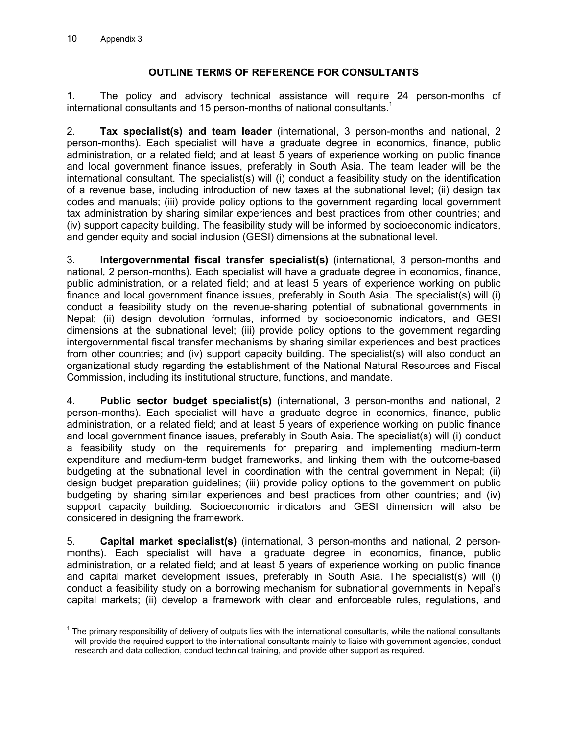## **OUTLINE TERMS OF REFERENCE FOR CONSULTANTS**

1. The policy and advisory technical assistance will require 24 person-months of international consultants and 15 person-months of national consultants.<sup>1</sup>

2. **Tax specialist(s) and team leader** (international, 3 person-months and national, 2 person-months). Each specialist will have a graduate degree in economics, finance, public administration, or a related field; and at least 5 years of experience working on public finance and local government finance issues, preferably in South Asia. The team leader will be the international consultant. The specialist(s) will (i) conduct a feasibility study on the identification of a revenue base, including introduction of new taxes at the subnational level; (ii) design tax codes and manuals; (iii) provide policy options to the government regarding local government tax administration by sharing similar experiences and best practices from other countries; and (iv) support capacity building. The feasibility study will be informed by socioeconomic indicators, and gender equity and social inclusion (GESI) dimensions at the subnational level.

3. **Intergovernmental fiscal transfer specialist(s)** (international, 3 person-months and national, 2 person-months). Each specialist will have a graduate degree in economics, finance, public administration, or a related field; and at least 5 years of experience working on public finance and local government finance issues, preferably in South Asia. The specialist(s) will (i) conduct a feasibility study on the revenue-sharing potential of subnational governments in Nepal; (ii) design devolution formulas, informed by socioeconomic indicators, and GESI dimensions at the subnational level; (iii) provide policy options to the government regarding intergovernmental fiscal transfer mechanisms by sharing similar experiences and best practices from other countries; and (iv) support capacity building. The specialist(s) will also conduct an organizational study regarding the establishment of the National Natural Resources and Fiscal Commission, including its institutional structure, functions, and mandate.

4. **Public sector budget specialist(s)** (international, 3 person-months and national, 2 person-months). Each specialist will have a graduate degree in economics, finance, public administration, or a related field; and at least 5 years of experience working on public finance and local government finance issues, preferably in South Asia. The specialist(s) will (i) conduct a feasibility study on the requirements for preparing and implementing medium-term expenditure and medium-term budget frameworks, and linking them with the outcome-based budgeting at the subnational level in coordination with the central government in Nepal; (ii) design budget preparation guidelines; (iii) provide policy options to the government on public budgeting by sharing similar experiences and best practices from other countries; and (iv) support capacity building. Socioeconomic indicators and GESI dimension will also be considered in designing the framework.

5. **Capital market specialist(s)** (international, 3 person-months and national, 2 personmonths). Each specialist will have a graduate degree in economics, finance, public administration, or a related field; and at least 5 years of experience working on public finance and capital market development issues, preferably in South Asia. The specialist(s) will (i) conduct a feasibility study on a borrowing mechanism for subnational governments in Nepal's capital markets; (ii) develop a framework with clear and enforceable rules, regulations, and

The primary responsibility of delivery of outputs lies with the international consultants, while the national consultants<br>The primary responsibility of delivery of outputs lies with the international consultants, while the will provide the required support to the international consultants mainly to liaise with government agencies, conduct research and data collection, conduct technical training, and provide other support as required.